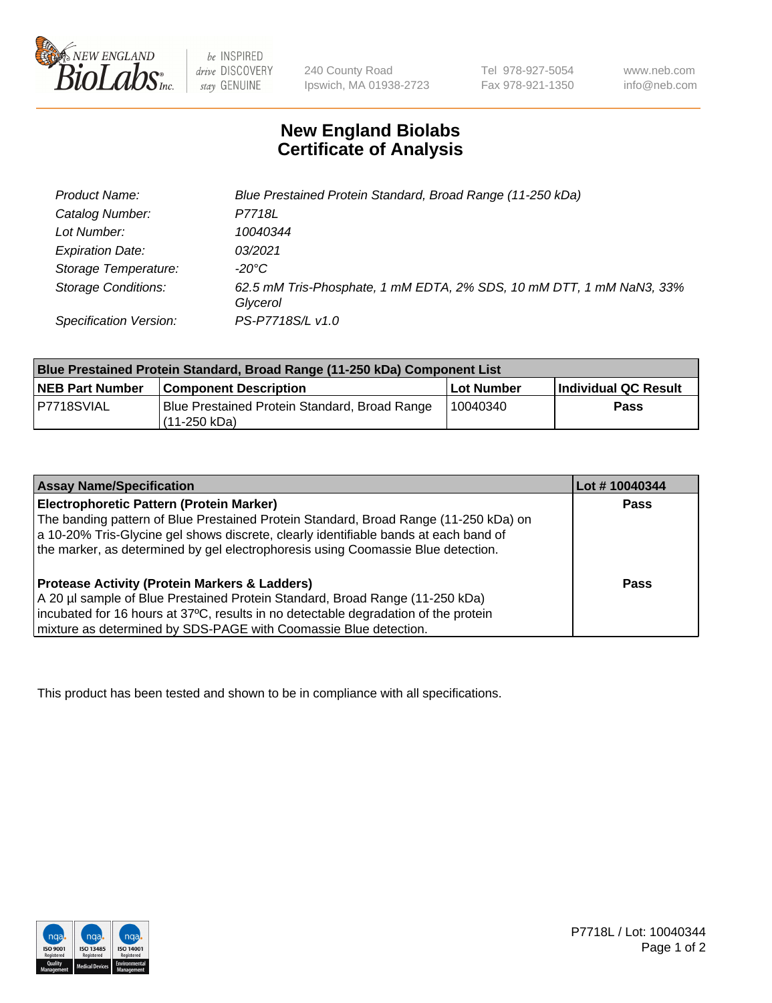

be INSPIRED drive DISCOVERY stay GENUINE

240 County Road Ipswich, MA 01938-2723 Tel 978-927-5054 Fax 978-921-1350

www.neb.com info@neb.com

## **New England Biolabs Certificate of Analysis**

| <b>Product Name:</b>       | Blue Prestained Protein Standard, Broad Range (11-250 kDa)                       |
|----------------------------|----------------------------------------------------------------------------------|
| Catalog Number:            | P7718L                                                                           |
| Lot Number:                | 10040344                                                                         |
| <b>Expiration Date:</b>    | 03/2021                                                                          |
| Storage Temperature:       | -20°C                                                                            |
| <b>Storage Conditions:</b> | 62.5 mM Tris-Phosphate, 1 mM EDTA, 2% SDS, 10 mM DTT, 1 mM NaN3, 33%<br>Glycerol |
| Specification Version:     | PS-P7718S/L v1.0                                                                 |

| Blue Prestained Protein Standard, Broad Range (11-250 kDa) Component List |                                                                 |              |                      |  |
|---------------------------------------------------------------------------|-----------------------------------------------------------------|--------------|----------------------|--|
| <b>NEB Part Number</b>                                                    | <b>Component Description</b>                                    | l Lot Number | Individual QC Result |  |
| P7718SVIAL                                                                | Blue Prestained Protein Standard, Broad Range<br>l (11-250 kDa) | 10040340     | <b>Pass</b>          |  |

| <b>Assay Name/Specification</b>                                                      | Lot #10040344 |
|--------------------------------------------------------------------------------------|---------------|
| Electrophoretic Pattern (Protein Marker)                                             | <b>Pass</b>   |
| The banding pattern of Blue Prestained Protein Standard, Broad Range (11-250 kDa) on |               |
| a 10-20% Tris-Glycine gel shows discrete, clearly identifiable bands at each band of |               |
| the marker, as determined by gel electrophoresis using Coomassie Blue detection.     |               |
|                                                                                      |               |
| <b>Protease Activity (Protein Markers &amp; Ladders)</b>                             | <b>Pass</b>   |
| A 20 µl sample of Blue Prestained Protein Standard, Broad Range (11-250 kDa)         |               |
| incubated for 16 hours at 37°C, results in no detectable degradation of the protein  |               |
| mixture as determined by SDS-PAGE with Coomassie Blue detection.                     |               |

This product has been tested and shown to be in compliance with all specifications.